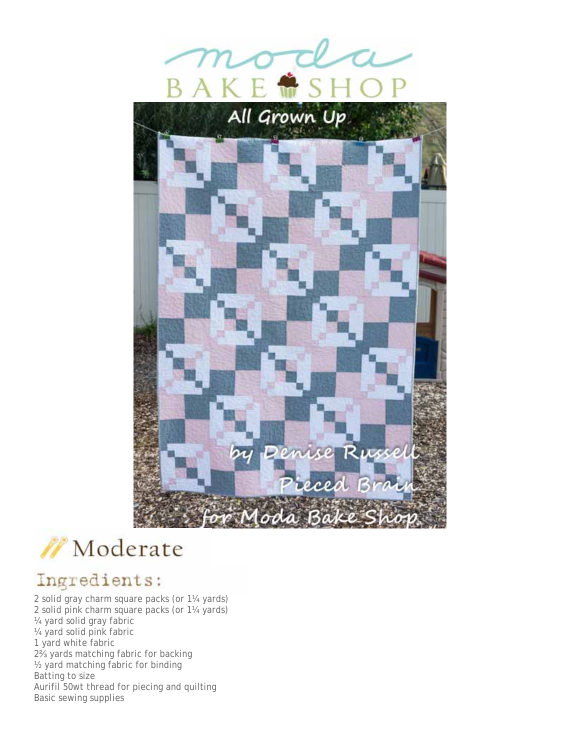



## Ingredients:

2 solid gray charm square packs (or 1¼ yards) 2 solid pink charm square packs (or 1¼ yards) ¼ yard solid gray fabric ¼ yard solid pink fabric 1 yard white fabric 2⅔ yards matching fabric for backing ½ yard matching fabric for binding Batting to size Aurifil 50wt thread for piecing and quilting Basic sewing supplies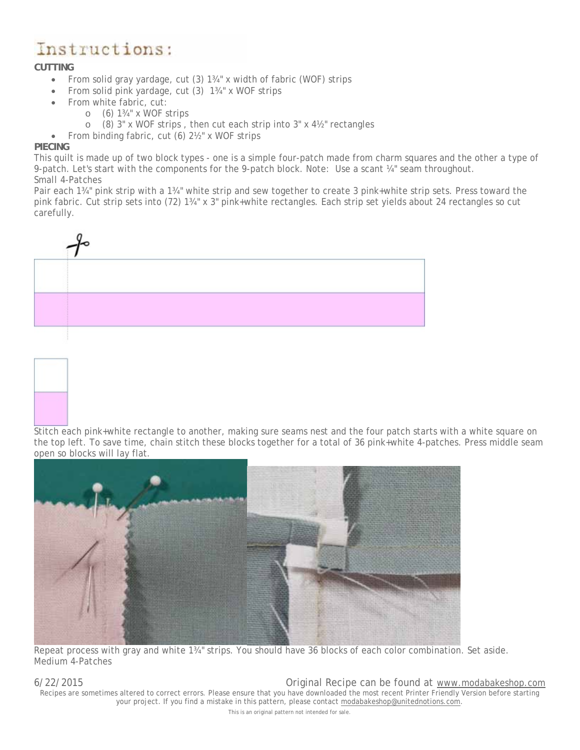# Instructions:

### **CUTTING**

- From solid gray yardage, cut (3) 1<sup>34</sup> x width of fabric (WOF) strips
- From solid pink yardage, cut (3) 13/4" x WOF strips
- From white fabric, cut:
	- $\circ$  (6) 1<sup>3</sup>/<sub>4</sub>" x WOF strips
	- o (8) 3" x WOF strips , then cut each strip into 3" x 4½" rectangles

• From binding fabric, cut (6) 2½" x WOF strips

#### **PIECING**

This quilt is made up of two block types - one is a simple four-patch made from charm squares and the other a type of 9-patch. Let's start with the components for the 9-patch block. Note: Use a scant ¼" seam throughout. *Small 4-Patches*

Pair each 1¾" pink strip with a 1¾" white strip and sew together to create 3 pink+white strip sets. Press toward the pink fabric. Cut strip sets into (72) 1¾" x 3" pink+white rectangles. Each strip set yields about 24 rectangles so cut carefully.





Stitch each pink+white rectangle to another, making sure seams nest and the four patch starts with a white square on the top left. To save time, chain stitch these blocks together for a total of 36 pink+white 4-patches. Press middle seam open so blocks will lay flat.



Repeat process with gray and white 1¾" strips. You should have 36 blocks of each color combination. Set aside. *Medium 4-Patches*

6/22/2015 Original Recipe can be found at www.modabakeshop.com Recipes are sometimes altered to correct errors. Please ensure that you have downloaded the most recent Printer Friendly Version before starting your project. If you find a mistake in this pattern, please contact modabakeshop@unitednotions.com. This is an original pattern not intended for sale.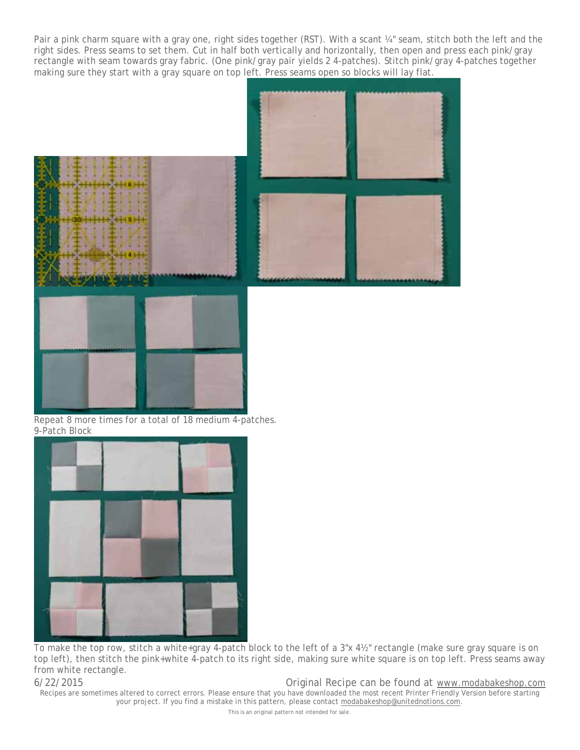Pair a pink charm square with a gray one, right sides together (RST). With a scant ¼" seam, stitch both the left and the right sides. Press seams to set them. Cut in half both vertically and horizontally, then open and press each pink/gray rectangle with seam towards gray fabric. (One pink/gray pair yields 2 4-patches). Stitch pink/gray 4-patches together making sure they start with a gray square on top left. Press seams open so blocks will lay flat.



Repeat 8 more times for a total of 18 medium 4-patches. *9-Patch Block*



To make the top row, stitch a white+gray 4-patch block to the left of a 3"x 4½" rectangle (make sure gray square is on top left), then stitch the pink+white 4-patch to its right side, making sure white square is on top left. Press seams away from white rectangle.

6/22/2015 Original Recipe can be found at www.modabakeshop.com Recipes are sometimes altered to correct errors. Please ensure that you have downloaded the most recent Printer Friendly Version before starting your project. If you find a mistake in this pattern, please contact modabakeshop@unitednotions.com.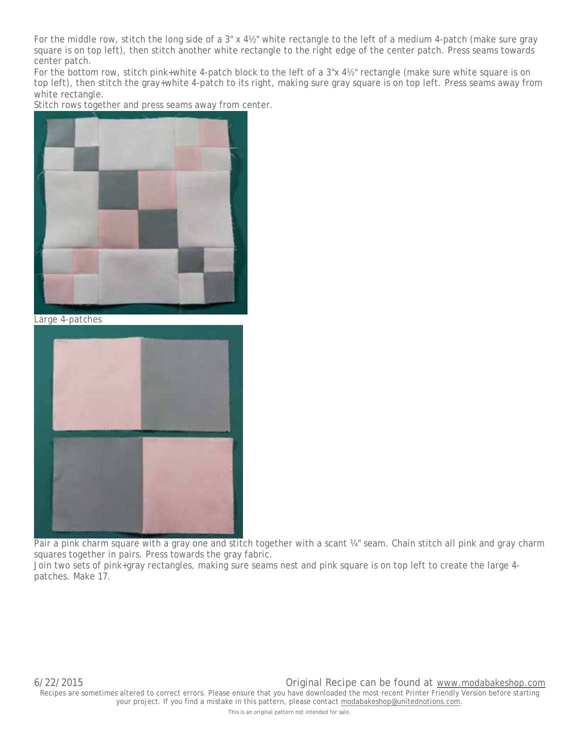For the middle row, stitch the long side of a 3" x 4½" white rectangle to the left of a medium 4-patch (make sure gray square is on top left), then stitch another white rectangle to the right edge of the center patch. Press seams towards center patch.

For the bottom row, stitch pink+white 4-patch block to the left of a 3"x 4½" rectangle (make sure white square is on top left), then stitch the gray+white 4-patch to its right, making sure gray square is on top left. Press seams away from white rectangle.

Stitch rows together and press seams away from center.



*Large 4-patches*



Pair a pink charm square with a gray one and stitch together with a scant ¼" seam. Chain stitch all pink and gray charm squares together in pairs. Press towards the gray fabric.

Join two sets of pink+gray rectangles, making sure seams nest and pink square is on top left to create the large 4 patches. Make 17.